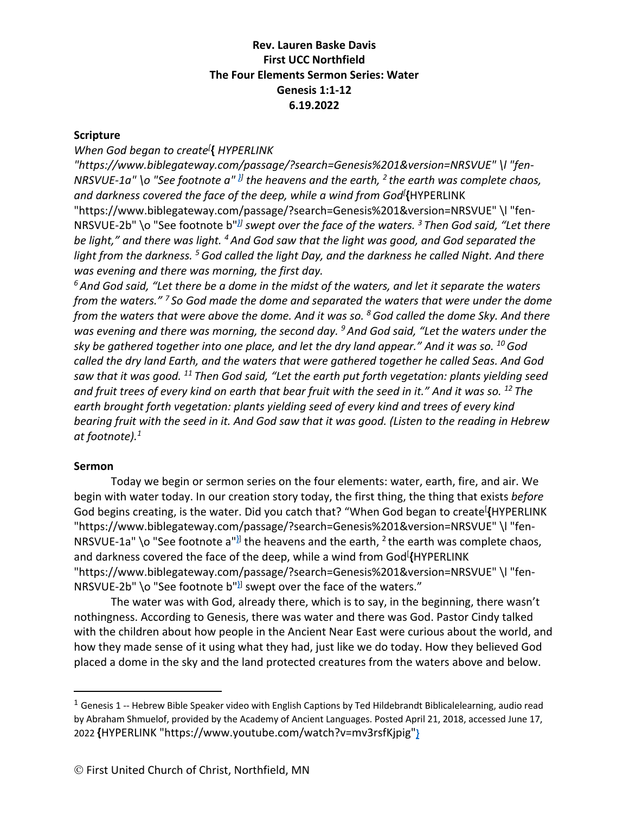#### **Scripture**

#### *When God began to create[* **{** *HYPERLINK*

*"https://www.biblegateway.com/passage/?search=Genesis%201&version=NRSVUE" \l "fen-NRSVUE-1a" \o "See footnote a" }] the heavens and the earth, <sup>2</sup> the earth was complete chaos, and darkness covered the face of the deep, while a wind from God[* **{**HYPERLINK "https://www.biblegateway.com/passage/?search=Genesis%201&version=NRSVUE" \l "fen-NRSVUE-2b" \o "See footnote b"*}] swept over the face of the waters. <sup>3</sup> Then God said, "Let there be light," and there was light. <sup>4</sup> And God saw that the light was good, and God separated the light from the darkness. 5God called the light Day, and the darkness he called Night. And there was evening and there was morning, the first day.*

*<sup>6</sup> And God said, "Let there be a dome in the midst of the waters, and let it separate the waters from the waters." <sup>7</sup> So God made the dome and separated the waters that were under the dome from the waters that were above the dome. And it was so. 8God called the dome Sky. And there was evening and there was morning, the second day. 9 And God said, "Let the waters under the sky be gathered together into one place, and let the dry land appear." And it was so. 10God called the dry land Earth, and the waters that were gathered together he called Seas. And God saw that it was good. <sup>11</sup> Then God said, "Let the earth put forth vegetation: plants yielding seed and fruit trees of every kind on earth that bear fruit with the seed in it." And it was so. <sup>12</sup> The earth brought forth vegetation: plants yielding seed of every kind and trees of every kind bearing fruit with the seed in it. And God saw that it was good. (Listen to the reading in Hebrew at footnote).1*

#### **Sermon**

Today we begin or sermon series on the four elements: water, earth, fire, and air. We begin with water today. In our creation story today, the first thing, the thing that exists *before* God begins creating, is the water. Did you catch that? "When God began to create[ **{**HYPERLINK "https://www.biblegateway.com/passage/?search=Genesis%201&version=NRSVUE" \l "fen-NRSVUE-1a" \o "See footnote a"<sup>}</sup>] the heavens and the earth, <sup>2</sup> the earth was complete chaos, and darkness covered the face of the deep, while a wind from God[ **{**HYPERLINK "https://www.biblegateway.com/passage/?search=Genesis%201&version=NRSVUE" \l "fen-NRSVUE-2b" \o "See footnote b"**}**] swept over the face of the waters."

The water was with God, already there, which is to say, in the beginning, there wasn't nothingness. According to Genesis, there was water and there was God. Pastor Cindy talked with the children about how people in the Ancient Near East were curious about the world, and how they made sense of it using what they had, just like we do today. How they believed God placed a dome in the sky and the land protected creatures from the waters above and below.

 $1$  Genesis 1 -- Hebrew Bible Speaker video with English Captions by Ted Hildebrandt Biblicalelearning, audio read by Abraham Shmuelof, provided by the Academy of Ancient Languages. Posted April 21, 2018, accessed June 17, 2022 **{**HYPERLINK "https://www.youtube.com/watch?v=mv3rsfKjpig"**}**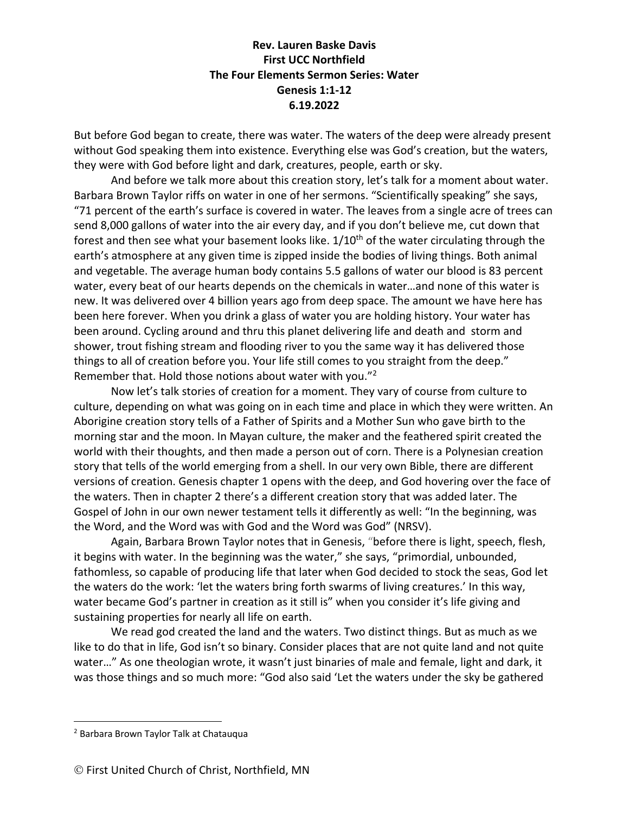But before God began to create, there was water. The waters of the deep were already present without God speaking them into existence. Everything else was God's creation, but the waters, they were with God before light and dark, creatures, people, earth or sky.

And before we talk more about this creation story, let's talk for a moment about water. Barbara Brown Taylor riffs on water in one of her sermons. "Scientifically speaking" she says, "71 percent of the earth's surface is covered in water. The leaves from a single acre of trees can send 8,000 gallons of water into the air every day, and if you don't believe me, cut down that forest and then see what your basement looks like. 1/10<sup>th</sup> of the water circulating through the earth's atmosphere at any given time is zipped inside the bodies of living things. Both animal and vegetable. The average human body contains 5.5 gallons of water our blood is 83 percent water, every beat of our hearts depends on the chemicals in water…and none of this water is new. It was delivered over 4 billion years ago from deep space. The amount we have here has been here forever. When you drink a glass of water you are holding history. Your water has been around. Cycling around and thru this planet delivering life and death and storm and shower, trout fishing stream and flooding river to you the same way it has delivered those things to all of creation before you. Your life still comes to you straight from the deep." Remember that. Hold those notions about water with you."2

Now let's talk stories of creation for a moment. They vary of course from culture to culture, depending on what was going on in each time and place in which they were written. An Aborigine creation story tells of a Father of Spirits and a Mother Sun who gave birth to the morning star and the moon. In Mayan culture, the maker and the feathered spirit created the world with their thoughts, and then made a person out of corn. There is a Polynesian creation story that tells of the world emerging from a shell. In our very own Bible, there are different versions of creation. Genesis chapter 1 opens with the deep, and God hovering over the face of the waters. Then in chapter 2 there's a different creation story that was added later. The Gospel of John in our own newer testament tells it differently as well: "In the beginning, was the Word, and the Word was with God and the Word was God" (NRSV).

Again, Barbara Brown Taylor notes that in Genesis, "before there is light, speech, flesh, it begins with water. In the beginning was the water," she says, "primordial, unbounded, fathomless, so capable of producing life that later when God decided to stock the seas, God let the waters do the work: 'let the waters bring forth swarms of living creatures.' In this way, water became God's partner in creation as it still is" when you consider it's life giving and sustaining properties for nearly all life on earth.

We read god created the land and the waters. Two distinct things. But as much as we like to do that in life, God isn't so binary. Consider places that are not quite land and not quite water…" As one theologian wrote, it wasn't just binaries of male and female, light and dark, it was those things and so much more: "God also said 'Let the waters under the sky be gathered

<sup>2</sup> Barbara Brown Taylor Talk at Chatauqua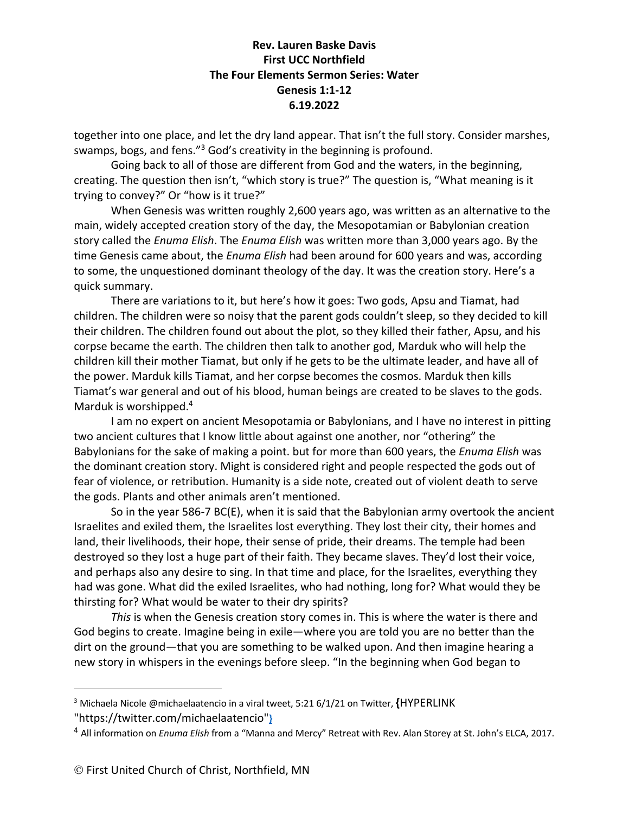together into one place, and let the dry land appear. That isn't the full story. Consider marshes, swamps, bogs, and fens."<sup>3</sup> God's creativity in the beginning is profound.

Going back to all of those are different from God and the waters, in the beginning, creating. The question then isn't, "which story is true?" The question is, "What meaning is it trying to convey?" Or "how is it true?"

When Genesis was written roughly 2,600 years ago, was written as an alternative to the main, widely accepted creation story of the day, the Mesopotamian or Babylonian creation story called the *Enuma Elish*. The *Enuma Elish* was written more than 3,000 years ago. By the time Genesis came about, the *Enuma Elish* had been around for 600 years and was, according to some, the unquestioned dominant theology of the day. It was the creation story. Here's a quick summary.

There are variations to it, but here's how it goes: Two gods, Apsu and Tiamat, had children. The children were so noisy that the parent gods couldn't sleep, so they decided to kill their children. The children found out about the plot, so they killed their father, Apsu, and his corpse became the earth. The children then talk to another god, Marduk who will help the children kill their mother Tiamat, but only if he gets to be the ultimate leader, and have all of the power. Marduk kills Tiamat, and her corpse becomes the cosmos. Marduk then kills Tiamat's war general and out of his blood, human beings are created to be slaves to the gods. Marduk is worshipped.<sup>4</sup>

I am no expert on ancient Mesopotamia or Babylonians, and I have no interest in pitting two ancient cultures that I know little about against one another, nor "othering" the Babylonians for the sake of making a point. but for more than 600 years, the *Enuma Elish* was the dominant creation story. Might is considered right and people respected the gods out of fear of violence, or retribution. Humanity is a side note, created out of violent death to serve the gods. Plants and other animals aren't mentioned.

So in the year 586-7 BC(E), when it is said that the Babylonian army overtook the ancient Israelites and exiled them, the Israelites lost everything. They lost their city, their homes and land, their livelihoods, their hope, their sense of pride, their dreams. The temple had been destroyed so they lost a huge part of their faith. They became slaves. They'd lost their voice, and perhaps also any desire to sing. In that time and place, for the Israelites, everything they had was gone. What did the exiled Israelites, who had nothing, long for? What would they be thirsting for? What would be water to their dry spirits?

*This* is when the Genesis creation story comes in. This is where the water is there and God begins to create. Imagine being in exile—where you are told you are no better than the dirt on the ground—that you are something to be walked upon. And then imagine hearing a new story in whispers in the evenings before sleep. "In the beginning when God began to

<sup>3</sup> Michaela Nicole @michaelaatencio in a viral tweet, 5:21 6/1/21 on Twitter, **{**HYPERLINK "https://twitter.com/michaelaatencio"**}**

<sup>4</sup> All information on *Enuma Elish* from a "Manna and Mercy" Retreat with Rev. Alan Storey at St. John's ELCA, 2017.